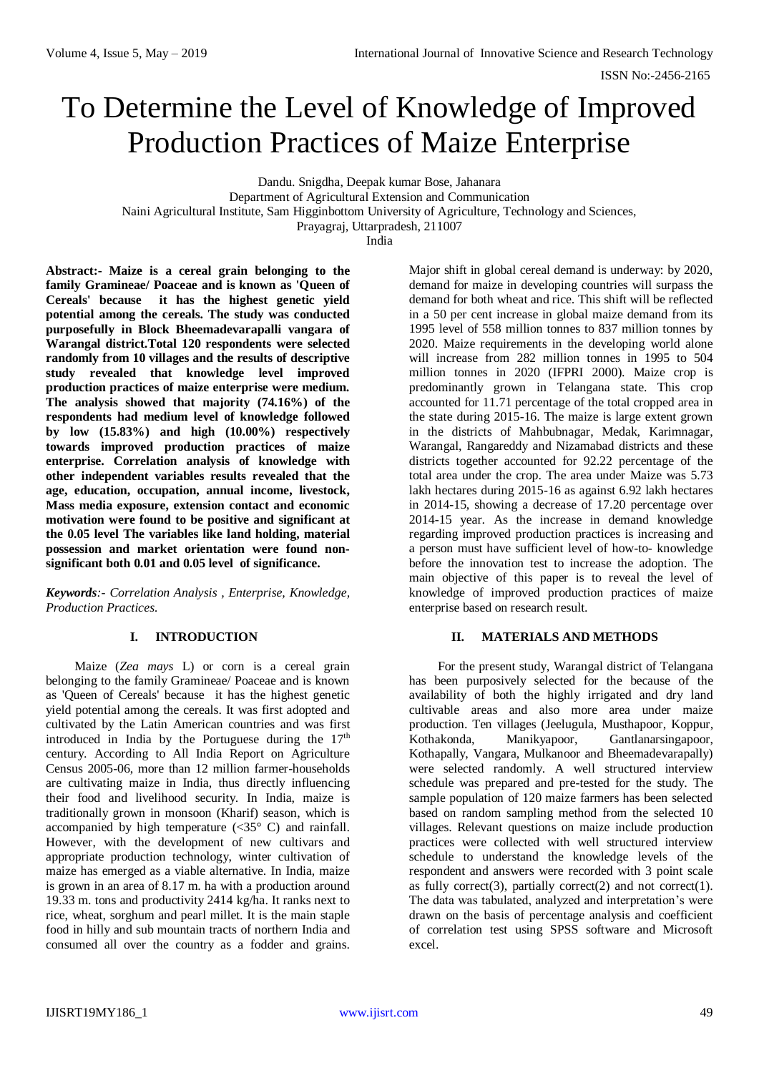# To Determine the Level of Knowledge of Improved Production Practices of Maize Enterprise

Dandu. Snigdha, Deepak kumar Bose, Jahanara

Department of Agricultural Extension and Communication

Naini Agricultural Institute, Sam Higginbottom University of Agriculture, Technology and Sciences,

Prayagraj, Uttarpradesh, 211007

India

**Abstract:- Maize is a cereal grain belonging to the family Gramineae/ Poaceae and is known as 'Queen of Cereals' because it has the highest genetic yield potential among the cereals. The study was conducted purposefully in Block Bheemadevarapalli vangara of Warangal district.Total 120 respondents were selected randomly from 10 villages and the results of descriptive study revealed that knowledge level improved production practices of maize enterprise were medium. The analysis showed that majority (74.16%) of the respondents had medium level of knowledge followed by low (15.83%) and high (10.00%) respectively towards improved production practices of maize enterprise. Correlation analysis of knowledge with other independent variables results revealed that the age, education, occupation, annual income, livestock, Mass media exposure, extension contact and economic motivation were found to be positive and significant at the 0.05 level The variables like land holding, material possession and market orientation were found nonsignificant both 0.01 and 0.05 level of significance.**

*Keywords:- Correlation Analysis , Enterprise, Knowledge, Production Practices.*

## **I. INTRODUCTION**

Maize (*Zea mays* L) or corn is a cereal grain belonging to the family Gramineae/ Poaceae and is known as 'Queen of Cereals' because it has the highest genetic yield potential among the cereals. It was first adopted and cultivated by the Latin American countries and was first introduced in India by the Portuguese during the 17<sup>th</sup> century. According to All India Report on Agriculture Census 2005-06, more than 12 million farmer-households are cultivating maize in India, thus directly influencing their food and livelihood security. In India, maize is traditionally grown in monsoon (Kharif) season, which is accompanied by high temperature (<35° C) and rainfall. However, with the development of new cultivars and appropriate production technology, winter cultivation of maize has emerged as a viable alternative. In India, maize is grown in an area of 8.17 m. ha with a production around 19.33 m. tons and productivity 2414 kg/ha. It ranks next to rice, wheat, sorghum and pearl millet. It is the main staple food in hilly and sub mountain tracts of northern India and consumed all over the country as a fodder and grains.

Major shift in global cereal demand is underway: by 2020, demand for maize in developing countries will surpass the demand for both wheat and rice. This shift will be reflected in a 50 per cent increase in global maize demand from its 1995 level of 558 million tonnes to 837 million tonnes by 2020. Maize requirements in the developing world alone will increase from 282 million tonnes in 1995 to 504 million tonnes in 2020 (IFPRI 2000). Maize crop is predominantly grown in Telangana state. This crop accounted for 11.71 percentage of the total cropped area in the state during 2015-16. The maize is large extent grown in the districts of Mahbubnagar, Medak, Karimnagar, Warangal, Rangareddy and Nizamabad districts and these districts together accounted for 92.22 percentage of the total area under the crop. The area under Maize was 5.73 lakh hectares during 2015-16 as against 6.92 lakh hectares in 2014-15, showing a decrease of 17.20 percentage over 2014-15 year. As the increase in demand knowledge regarding improved production practices is increasing and a person must have sufficient level of how-to- knowledge before the innovation test to increase the adoption. The main objective of this paper is to reveal the level of knowledge of improved production practices of maize enterprise based on research result.

# **II. MATERIALS AND METHODS**

For the present study, Warangal district of Telangana has been purposively selected for the because of the availability of both the highly irrigated and dry land cultivable areas and also more area under maize production. Ten villages (Jeelugula, Musthapoor, Koppur, Kothakonda, Manikyapoor, Gantlanarsingapoor, Kothapally, Vangara, Mulkanoor and Bheemadevarapally) were selected randomly. A well structured interview schedule was prepared and pre-tested for the study. The sample population of 120 maize farmers has been selected based on random sampling method from the selected 10 villages. Relevant questions on maize include production practices were collected with well structured interview schedule to understand the knowledge levels of the respondent and answers were recorded with 3 point scale as fully correct(3), partially correct(2) and not correct(1). The data was tabulated, analyzed and interpretation's were drawn on the basis of percentage analysis and coefficient of correlation test using SPSS software and Microsoft excel.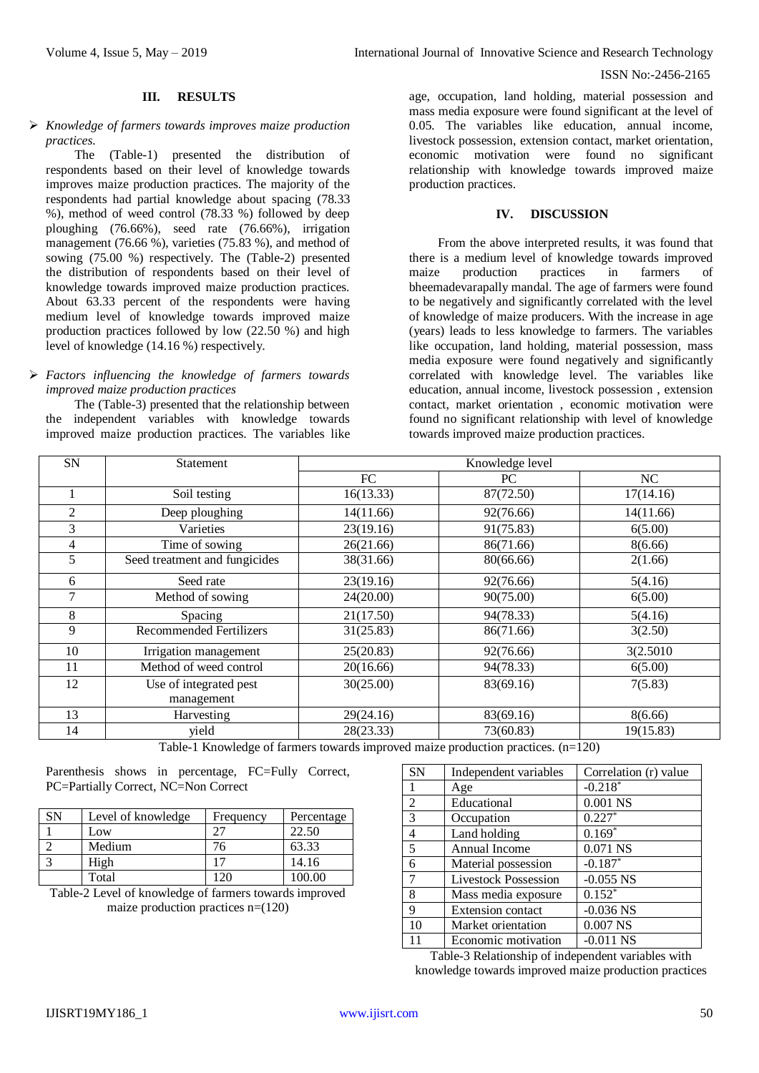#### ISSN No:-2456-2165

### **III. RESULTS**

#### *Knowledge of farmers towards improves maize production practices.*

The (Table-1) presented the distribution of respondents based on their level of knowledge towards improves maize production practices. The majority of the respondents had partial knowledge about spacing (78.33 %), method of weed control (78.33 %) followed by deep ploughing (76.66%), seed rate (76.66%), irrigation management (76.66 %), varieties (75.83 %), and method of sowing (75.00 %) respectively. The (Table-2) presented the distribution of respondents based on their level of knowledge towards improved maize production practices. About 63.33 percent of the respondents were having medium level of knowledge towards improved maize production practices followed by low  $(22.50\%)$  and high level of knowledge (14.16 %) respectively.

# *Factors influencing the knowledge of farmers towards improved maize production practices*

The (Table-3) presented that the relationship between the independent variables with knowledge towards improved maize production practices. The variables like

age, occupation, land holding, material possession and mass media exposure were found significant at the level of 0.05. The variables like education, annual income, livestock possession, extension contact, market orientation, economic motivation were found no significant relationship with knowledge towards improved maize production practices.

### **IV. DISCUSSION**

From the above interpreted results, it was found that there is a medium level of knowledge towards improved maize production practices in farmers of bheemadevarapally mandal. The age of farmers were found to be negatively and significantly correlated with the level of knowledge of maize producers. With the increase in age (years) leads to less knowledge to farmers. The variables like occupation, land holding, material possession, mass media exposure were found negatively and significantly correlated with knowledge level. The variables like education, annual income, livestock possession , extension contact, market orientation , economic motivation were found no significant relationship with level of knowledge towards improved maize production practices.

| <b>SN</b>      | <b>Statement</b>                     | Knowledge level |           |           |
|----------------|--------------------------------------|-----------------|-----------|-----------|
|                |                                      | FC              | PC.       | NC        |
|                | Soil testing                         | 16(13.33)       | 87(72.50) | 17(14.16) |
| $\overline{2}$ | Deep ploughing                       | 14(11.66)       | 92(76.66) | 14(11.66) |
| 3              | Varieties                            | 23(19.16)       | 91(75.83) | 6(5.00)   |
| 4              | Time of sowing                       | 26(21.66)       | 86(71.66) | 8(6.66)   |
| 5              | Seed treatment and fungicides        | 38(31.66)       | 80(66.66) | 2(1.66)   |
| 6              | Seed rate                            | 23(19.16)       | 92(76.66) | 5(4.16)   |
|                | Method of sowing                     | 24(20.00)       | 90(75.00) | 6(5.00)   |
| 8              | Spacing                              | 21(17.50)       | 94(78.33) | 5(4.16)   |
| 9              | <b>Recommended Fertilizers</b>       | 31(25.83)       | 86(71.66) | 3(2.50)   |
| 10             | Irrigation management                | 25(20.83)       | 92(76.66) | 3(2.5010) |
| 11             | Method of weed control               | 20(16.66)       | 94(78.33) | 6(5.00)   |
| 12             | Use of integrated pest<br>management | 30(25.00)       | 83(69.16) | 7(5.83)   |
| 13             | Harvesting                           | 29(24.16)       | 83(69.16) | 8(6.66)   |
| 14             | yield                                | 28(23.33)       | 73(60.83) | 19(15.83) |

Table-1 Knowledge of farmers towards improved maize production practices. (n=120)

Parenthesis shows in percentage, FC=Fully Correct, PC=Partially Correct, NC=Non Correct

| SN | Level of knowledge | Frequency | Percentage |
|----|--------------------|-----------|------------|
|    | Low                |           | 22.50      |
|    | Medium             |           | 63.33      |
|    | High               |           | 14.16      |
|    | Total              |           | 00.00 i    |

Table-2 Level of knowledge of farmers towards improved maize production practices n=(120)

| SN             | Independent variables       | Correlation (r) value |
|----------------|-----------------------------|-----------------------|
| 1              | Age                         | $-0.218*$             |
| $\overline{2}$ | Educational                 | $0.001$ NS            |
| 3              | Occupation                  | $0.227*$              |
| 4              | Land holding                | $0.169*$              |
| 5              | Annual Income               | 0.071 NS              |
| 6              | Material possession         | $-0.187*$             |
| 7              | <b>Livestock Possession</b> | $-0.055$ NS           |
| 8              | Mass media exposure         | $0.152*$              |
| 9              | Extension contact           | $-0.036$ NS           |
| 10             | Market orientation          | $0.007$ NS            |
| 11             | Economic motivation         | $-0.011$ NS           |

Table-3 Relationship of independent variables with knowledge towards improved maize production practices